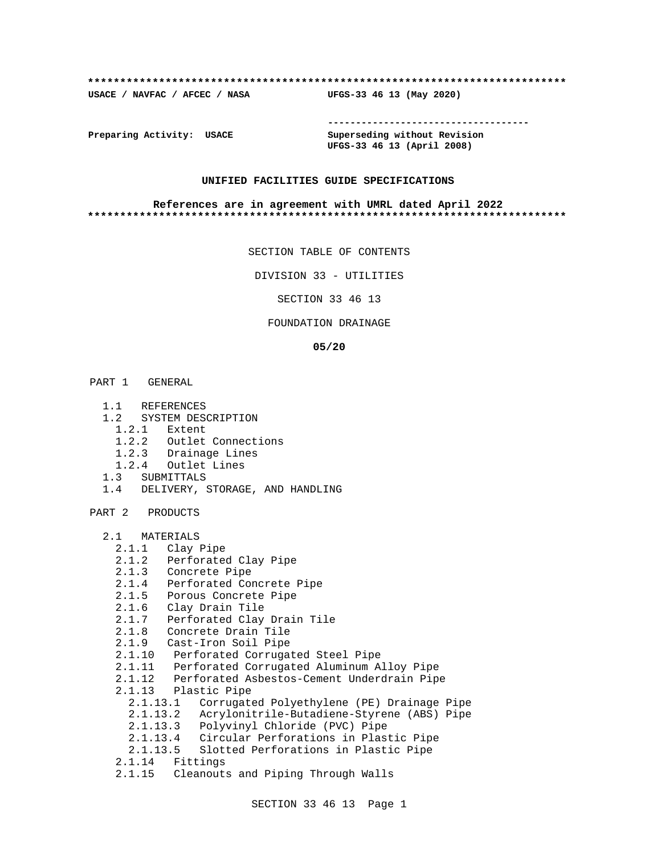#### **\*\*\*\*\*\*\*\*\*\*\*\*\*\*\*\*\*\*\*\*\*\*\*\*\*\*\*\*\*\*\*\*\*\*\*\*\*\*\*\*\*\*\*\*\*\*\*\*\*\*\*\*\*\*\*\*\*\*\*\*\*\*\*\*\*\*\*\*\*\*\*\*\*\***

**USACE / NAVFAC / AFCEC / NASA UFGS-33 46 13 (May 2020)**

**------------------------------------**

**Preparing Activity: USACE Superseding without Revision UFGS-33 46 13 (April 2008)**

#### **UNIFIED FACILITIES GUIDE SPECIFICATIONS**

#### **References are in agreement with UMRL dated April 2022 \*\*\*\*\*\*\*\*\*\*\*\*\*\*\*\*\*\*\*\*\*\*\*\*\*\*\*\*\*\*\*\*\*\*\*\*\*\*\*\*\*\*\*\*\*\*\*\*\*\*\*\*\*\*\*\*\*\*\*\*\*\*\*\*\*\*\*\*\*\*\*\*\*\***

SECTION TABLE OF CONTENTS

DIVISION 33 - UTILITIES

SECTION 33 46 13

#### FOUNDATION DRAINAGE

#### **05/20**

PART 1 GENERAL

- 1.1 REFERENCES
- 1.2 SYSTEM DESCRIPTION
	- 1.2.1 Extent
	- 1.2.2 Outlet Connections
	- 1.2.3 Drainage Lines
- 1.2.4 Outlet Lines
- 1.3 SUBMITTALS
- 1.4 DELIVERY, STORAGE, AND HANDLING

PART 2 PRODUCTS

```
 2.1 MATERIALS
```

```
 2.1.1 Clay Pipe
```
- 2.1.2 Perforated Clay Pipe
- 2.1.3 Concrete Pipe
- 2.1.4 Perforated Concrete Pipe
- 2.1.5 Porous Concrete Pipe
- 2.1.6 Clay Drain Tile
- 2.1.7 Perforated Clay Drain Tile
	- 2.1.8 Concrete Drain Tile
	- 2.1.9 Cast-Iron Soil Pipe
	- 2.1.10 Perforated Corrugated Steel Pipe
	- 2.1.11 Perforated Corrugated Aluminum Alloy Pipe
	- 2.1.12 Perforated Asbestos-Cement Underdrain Pipe
	- 2.1.13 Plastic Pipe
		- 2.1.13.1 Corrugated Polyethylene (PE) Drainage Pipe
		- 2.1.13.2 Acrylonitrile-Butadiene-Styrene (ABS) Pipe
		- 2.1.13.3 Polyvinyl Chloride (PVC) Pipe
		- 2.1.13.4 Circular Perforations in Plastic Pipe
		- 2.1.13.5 Slotted Perforations in Plastic Pipe
	- 2.1.14 Fittings
	- 2.1.15 Cleanouts and Piping Through Walls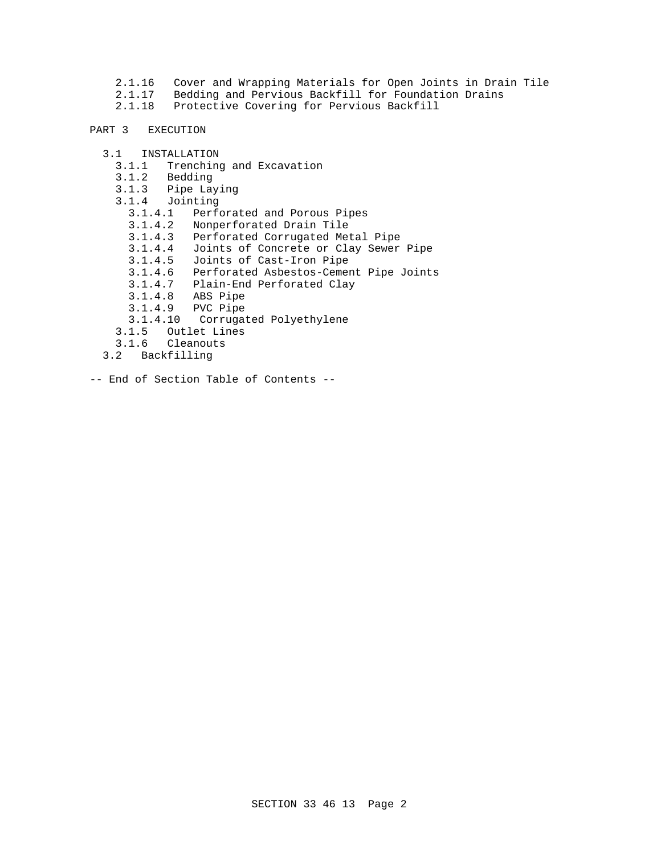- 2.1.16 Cover and Wrapping Materials for Open Joints in Drain Tile
- 2.1.17 Bedding and Pervious Backfill for Foundation Drains
- 2.1.18 Protective Covering for Pervious Backfill

## PART 3 EXECUTION

- 3.1 INSTALLATION
	- 3.1.1 Trenching and Excavation
	- 3.1.2 Bedding
	- 3.1.3 Pipe Laying
	- 3.1.4 Jointing
		- 3.1.4.1 Perforated and Porous Pipes
		- 3.1.4.2 Nonperforated Drain Tile
		- 3.1.4.3 Perforated Corrugated Metal Pipe
		- 3.1.4.4 Joints of Concrete or Clay Sewer Pipe
		- 3.1.4.5 Joints of Cast-Iron Pipe
		- 3.1.4.6 Perforated Asbestos-Cement Pipe Joints
- 3.1.4.7 Plain-End Perforated Clay
- 3.1.4.8 ABS Pipe
	- 3.1.4.9 PVC Pipe
	- 3.1.4.10 Corrugated Polyethylene
	- 3.1.5 Outlet Lines
	- 3.1.6 Cleanouts
	- 3.2 Backfilling
- -- End of Section Table of Contents --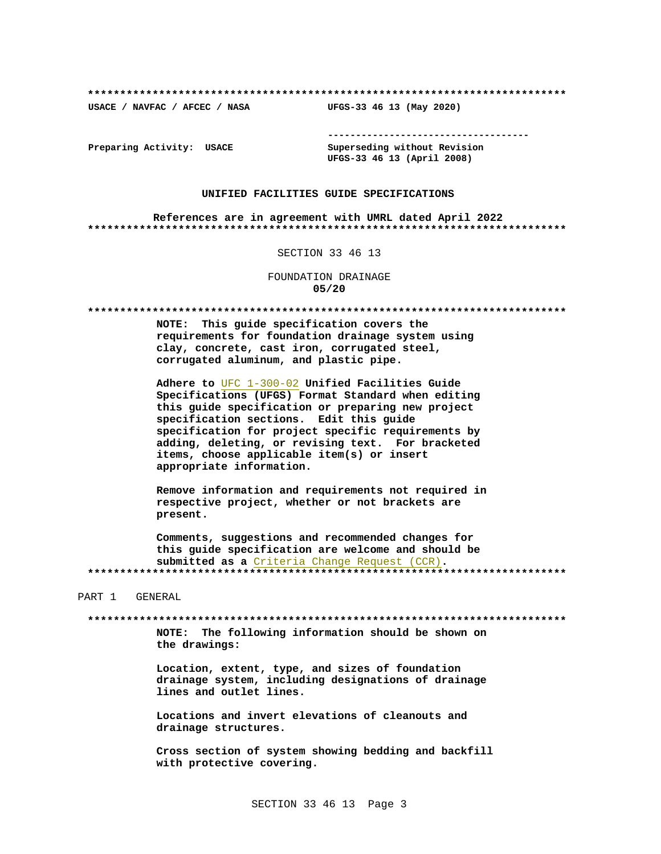USACE / NAVFAC / AFCEC / NASA

--------------------------------------

Preparing Activity: USACE

Superseding without Revision UFGS-33 46 13 (April 2008)

UFGS-33 46 13 (May 2020)

#### UNIFIED FACILITIES GUIDE SPECIFICATIONS

References are in agreement with UMRL dated April 2022 

#### SECTION 33 46 13

FOUNDATION DRAINAGE  $05/20$ 

NOTE: This quide specification covers the requirements for foundation drainage system using clay, concrete, cast iron, corrugated steel, corrugated aluminum, and plastic pipe.

Adhere to UFC 1-300-02 Unified Facilities Guide Specifications (UFGS) Format Standard when editing this guide specification or preparing new project specification sections. Edit this guide specification for project specific requirements by adding, deleting, or revising text. For bracketed items, choose applicable item(s) or insert appropriate information.

Remove information and requirements not required in respective project, whether or not brackets are present.

Comments, suggestions and recommended changes for this guide specification are welcome and should be submitted as a Criteria Change Request (CCR). 

PART 1 GENERAL

NOTE: The following information should be shown on the drawings:

Location, extent, type, and sizes of foundation drainage system, including designations of drainage lines and outlet lines.

Locations and invert elevations of cleanouts and drainage structures.

Cross section of system showing bedding and backfill with protective covering.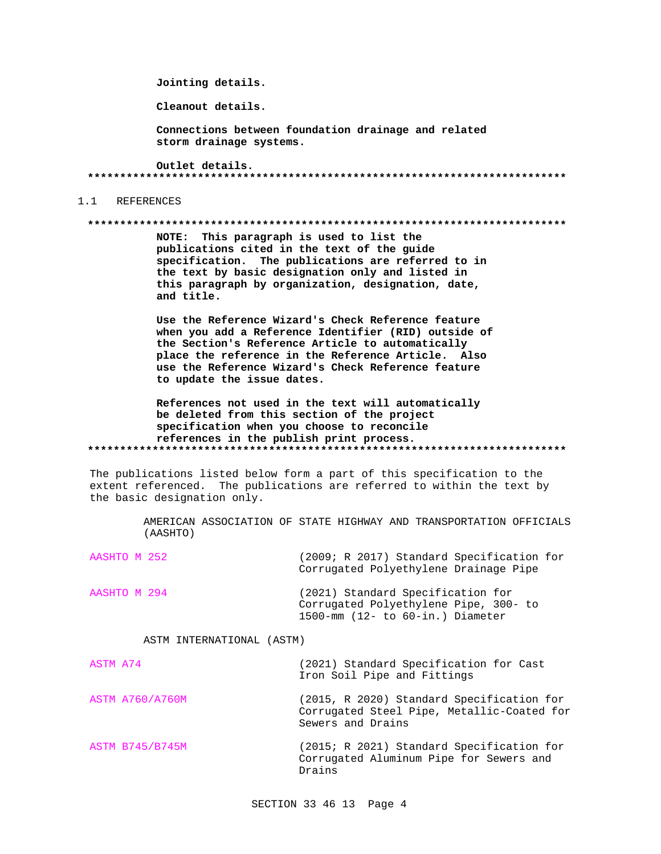Jointing details.

Cleanout details.

Connections between foundation drainage and related storm drainage systems.

Outlet details. 

#### $1.1$ REFERENCES

#### 

NOTE: This paragraph is used to list the publications cited in the text of the guide specification. The publications are referred to in the text by basic designation only and listed in this paragraph by organization, designation, date, and title.

Use the Reference Wizard's Check Reference feature when you add a Reference Identifier (RID) outside of the Section's Reference Article to automatically place the reference in the Reference Article. Also use the Reference Wizard's Check Reference feature to update the issue dates.

References not used in the text will automatically be deleted from this section of the project specification when you choose to reconcile references in the publish print process. 

The publications listed below form a part of this specification to the extent referenced. The publications are referred to within the text by the basic designation only.

> AMERICAN ASSOCIATION OF STATE HIGHWAY AND TRANSPORTATION OFFICIALS (AASHTO)

| AASHTO M 252 | (2009; R 2017) Standard Specification for<br>Corrugated Polyethylene Drainage Pipe                                     |
|--------------|------------------------------------------------------------------------------------------------------------------------|
| AASHTO M 294 | (2021) Standard Specification for<br>Corrugated Polyethylene Pipe, 300- to<br>$1500$ -mm $(12 - to 60 - in.)$ Diameter |

#### ASTM INTERNATIONAL (ASTM)

| ASTM A74               | (2021) Standard Specification for Cast<br>Iron Soil Pipe and Fittings                                        |
|------------------------|--------------------------------------------------------------------------------------------------------------|
| <b>ASTM A760/A760M</b> | (2015, R 2020) Standard Specification for<br>Corrugated Steel Pipe, Metallic-Coated for<br>Sewers and Drains |
| <b>ASTM B745/B745M</b> | (2015; R 2021) Standard Specification for<br>Corrugated Aluminum Pipe for Sewers and<br>Drains               |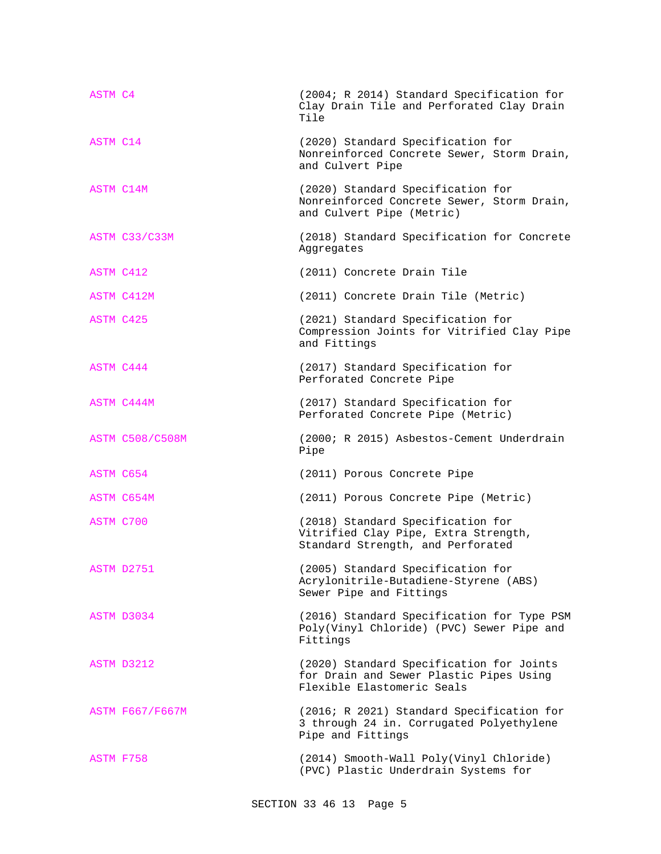| ASTM C4                | (2004; R 2014) Standard Specification for<br>Clay Drain Tile and Perforated Clay Drain<br>Tile                    |
|------------------------|-------------------------------------------------------------------------------------------------------------------|
| ASTM C14               | (2020) Standard Specification for<br>Nonreinforced Concrete Sewer, Storm Drain,<br>and Culvert Pipe               |
| ASTM C14M              | (2020) Standard Specification for<br>Nonreinforced Concrete Sewer, Storm Drain,<br>and Culvert Pipe (Metric)      |
| ASTM C33/C33M          | (2018) Standard Specification for Concrete<br>Aggregates                                                          |
| ASTM C412              | (2011) Concrete Drain Tile                                                                                        |
| ASTM C412M             | (2011) Concrete Drain Tile (Metric)                                                                               |
| ASTM C425              | (2021) Standard Specification for<br>Compression Joints for Vitrified Clay Pipe<br>and Fittings                   |
| ASTM C444              | (2017) Standard Specification for<br>Perforated Concrete Pipe                                                     |
| ASTM C444M             | (2017) Standard Specification for<br>Perforated Concrete Pipe (Metric)                                            |
| <b>ASTM C508/C508M</b> | (2000; R 2015) Asbestos-Cement Underdrain<br>Pipe                                                                 |
| ASTM C654              | (2011) Porous Concrete Pipe                                                                                       |
| ASTM C654M             | (2011) Porous Concrete Pipe (Metric)                                                                              |
| ASTM C700              | (2018) Standard Specification for<br>Vitrified Clay Pipe, Extra Strength,<br>Standard Strength, and Perforated    |
| ASTM D2751             | (2005) Standard Specification for<br>Acrylonitrile-Butadiene-Styrene (ABS)<br>Sewer Pipe and Fittings             |
| ASTM D3034             | (2016) Standard Specification for Type PSM<br>Poly(Vinyl Chloride) (PVC) Sewer Pipe and<br>Fittings               |
| ASTM D3212             | (2020) Standard Specification for Joints<br>for Drain and Sewer Plastic Pipes Using<br>Flexible Elastomeric Seals |
| <b>ASTM F667/F667M</b> | (2016; R 2021) Standard Specification for<br>3 through 24 in. Corrugated Polyethylene<br>Pipe and Fittings        |
| ASTM F758              | (2014) Smooth-Wall Poly(Vinyl Chloride)<br>(PVC) Plastic Underdrain Systems for                                   |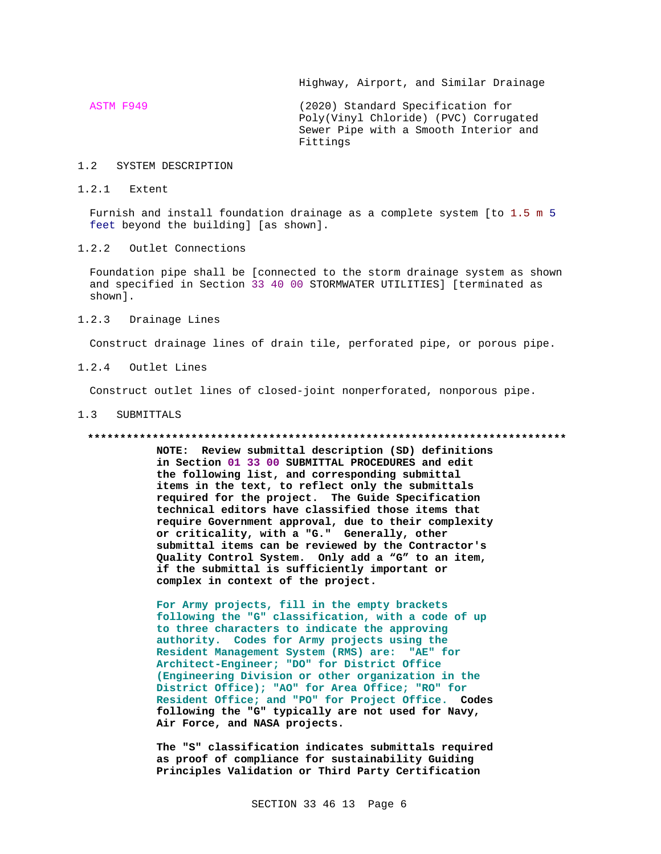Highway, Airport, and Similar Drainage

ASTM F949 (2020) Standard Specification for Poly(Vinyl Chloride) (PVC) Corrugated Sewer Pipe with a Smooth Interior and Fittings

#### 1.2 SYSTEM DESCRIPTION

1.2.1 Extent

Furnish and install foundation drainage as a complete system [to 1.5 m 5 feet beyond the building] [as shown].

1.2.2 Outlet Connections

Foundation pipe shall be [connected to the storm drainage system as shown and specified in Section 33 40 00 STORMWATER UTILITIES] [terminated as shown].

1.2.3 Drainage Lines

Construct drainage lines of drain tile, perforated pipe, or porous pipe.

1.2.4 Outlet Lines

Construct outlet lines of closed-joint nonperforated, nonporous pipe.

#### 1.3 SUBMITTALS

#### **\*\*\*\*\*\*\*\*\*\*\*\*\*\*\*\*\*\*\*\*\*\*\*\*\*\*\*\*\*\*\*\*\*\*\*\*\*\*\*\*\*\*\*\*\*\*\*\*\*\*\*\*\*\*\*\*\*\*\*\*\*\*\*\*\*\*\*\*\*\*\*\*\*\***

**NOTE: Review submittal description (SD) definitions in Section 01 33 00 SUBMITTAL PROCEDURES and edit the following list, and corresponding submittal items in the text, to reflect only the submittals required for the project. The Guide Specification technical editors have classified those items that require Government approval, due to their complexity or criticality, with a "G." Generally, other submittal items can be reviewed by the Contractor's Quality Control System. Only add a "G" to an item, if the submittal is sufficiently important or complex in context of the project.**

**For Army projects, fill in the empty brackets following the "G" classification, with a code of up to three characters to indicate the approving authority. Codes for Army projects using the Resident Management System (RMS) are: "AE" for Architect-Engineer; "DO" for District Office (Engineering Division or other organization in the District Office); "AO" for Area Office; "RO" for Resident Office; and "PO" for Project Office. Codes following the "G" typically are not used for Navy, Air Force, and NASA projects.**

**The "S" classification indicates submittals required as proof of compliance for sustainability Guiding Principles Validation or Third Party Certification**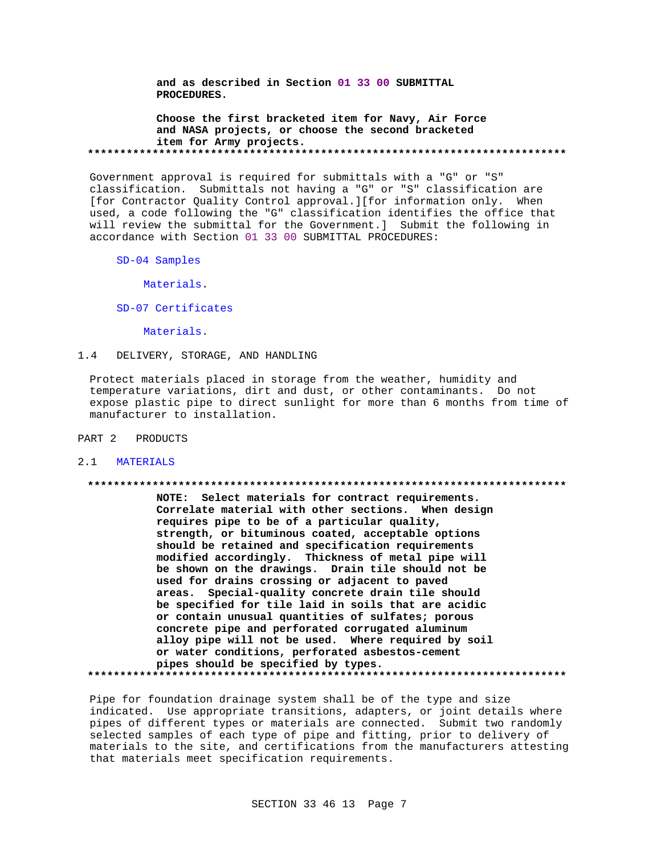**and as described in Section 01 33 00 SUBMITTAL PROCEDURES.**

**Choose the first bracketed item for Navy, Air Force and NASA projects, or choose the second bracketed item for Army projects. \*\*\*\*\*\*\*\*\*\*\*\*\*\*\*\*\*\*\*\*\*\*\*\*\*\*\*\*\*\*\*\*\*\*\*\*\*\*\*\*\*\*\*\*\*\*\*\*\*\*\*\*\*\*\*\*\*\*\*\*\*\*\*\*\*\*\*\*\*\*\*\*\*\***

Government approval is required for submittals with a "G" or "S" classification. Submittals not having a "G" or "S" classification are [for Contractor Quality Control approval.][for information only. When used, a code following the "G" classification identifies the office that will review the submittal for the Government.] Submit the following in accordance with Section 01 33 00 SUBMITTAL PROCEDURES:

SD-04 Samples

Materials.

SD-07 Certificates

Materials.

## 1.4 DELIVERY, STORAGE, AND HANDLING

Protect materials placed in storage from the weather, humidity and temperature variations, dirt and dust, or other contaminants. Do not expose plastic pipe to direct sunlight for more than 6 months from time of manufacturer to installation.

PART 2 PRODUCTS

#### 2.1 MATERIALS

## **\*\*\*\*\*\*\*\*\*\*\*\*\*\*\*\*\*\*\*\*\*\*\*\*\*\*\*\*\*\*\*\*\*\*\*\*\*\*\*\*\*\*\*\*\*\*\*\*\*\*\*\*\*\*\*\*\*\*\*\*\*\*\*\*\*\*\*\*\*\*\*\*\*\***

**NOTE: Select materials for contract requirements. Correlate material with other sections. When design requires pipe to be of a particular quality, strength, or bituminous coated, acceptable options should be retained and specification requirements modified accordingly. Thickness of metal pipe will be shown on the drawings. Drain tile should not be used for drains crossing or adjacent to paved areas. Special-quality concrete drain tile should be specified for tile laid in soils that are acidic or contain unusual quantities of sulfates; porous concrete pipe and perforated corrugated aluminum alloy pipe will not be used. Where required by soil or water conditions, perforated asbestos-cement pipes should be specified by types. \*\*\*\*\*\*\*\*\*\*\*\*\*\*\*\*\*\*\*\*\*\*\*\*\*\*\*\*\*\*\*\*\*\*\*\*\*\*\*\*\*\*\*\*\*\*\*\*\*\*\*\*\*\*\*\*\*\*\*\*\*\*\*\*\*\*\*\*\*\*\*\*\*\***

Pipe for foundation drainage system shall be of the type and size indicated. Use appropriate transitions, adapters, or joint details where pipes of different types or materials are connected. Submit two randomly selected samples of each type of pipe and fitting, prior to delivery of materials to the site, and certifications from the manufacturers attesting that materials meet specification requirements.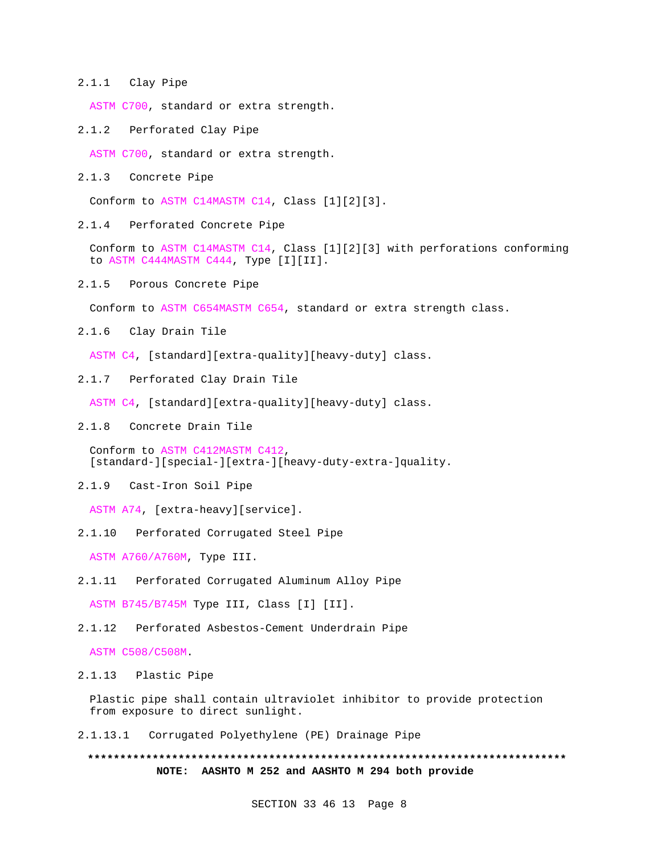2.1.1 Clay Pipe

ASTM C700, standard or extra strength.

2.1.2 Perforated Clay Pipe

ASTM C700, standard or extra strength.

2.1.3 Concrete Pipe

Conform to ASTM C14MASTM C14, Class [1][2][3].

2.1.4 Perforated Concrete Pipe

Conform to ASTM C14MASTM C14, Class [1][2][3] with perforations conforming to ASTM C444MASTM C444, Type [I][II].

2.1.5 Porous Concrete Pipe

Conform to ASTM C654MASTM C654, standard or extra strength class.

2.1.6 Clay Drain Tile

ASTM C4, [standard][extra-quality][heavy-duty] class.

2.1.7 Perforated Clay Drain Tile

ASTM C4, [standard][extra-quality][heavy-duty] class.

2.1.8 Concrete Drain Tile

Conform to ASTM C412MASTM C412, [standard-][special-][extra-][heavy-duty-extra-]quality.

2.1.9 Cast-Iron Soil Pipe

ASTM A74, [extra-heavy][service].

2.1.10 Perforated Corrugated Steel Pipe

ASTM A760/A760M, Type III.

2.1.11 Perforated Corrugated Aluminum Alloy Pipe

ASTM B745/B745M Type III, Class [I] [II].

2.1.12 Perforated Asbestos-Cement Underdrain Pipe

ASTM C508/C508M.

2.1.13 Plastic Pipe

Plastic pipe shall contain ultraviolet inhibitor to provide protection from exposure to direct sunlight.

2.1.13.1 Corrugated Polyethylene (PE) Drainage Pipe

**\*\*\*\*\*\*\*\*\*\*\*\*\*\*\*\*\*\*\*\*\*\*\*\*\*\*\*\*\*\*\*\*\*\*\*\*\*\*\*\*\*\*\*\*\*\*\*\*\*\*\*\*\*\*\*\*\*\*\*\*\*\*\*\*\*\*\*\*\*\*\*\*\*\* NOTE: AASHTO M 252 and AASHTO M 294 both provide**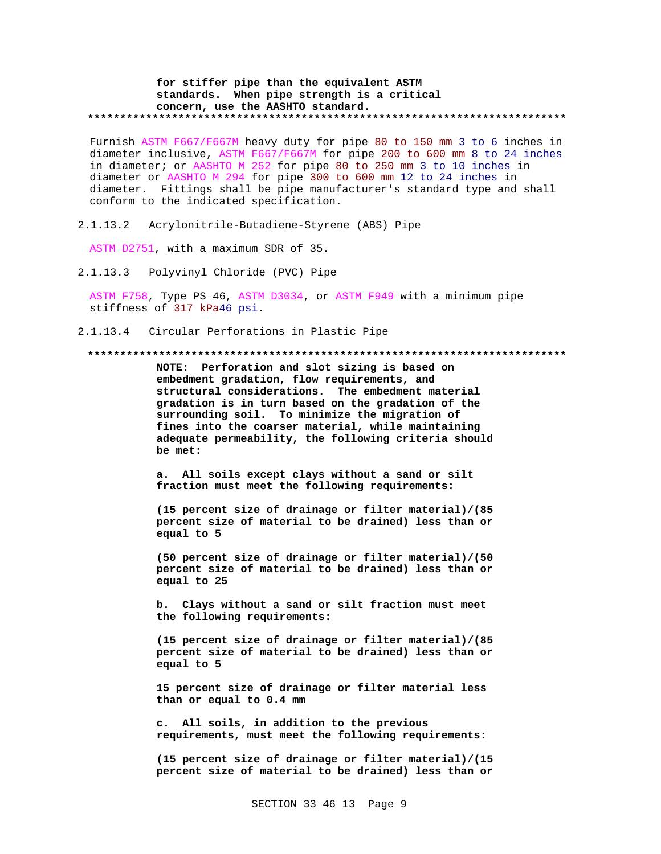#### **for stiffer pipe than the equivalent ASTM standards. When pipe strength is a critical concern, use the AASHTO standard. \*\*\*\*\*\*\*\*\*\*\*\*\*\*\*\*\*\*\*\*\*\*\*\*\*\*\*\*\*\*\*\*\*\*\*\*\*\*\*\*\*\*\*\*\*\*\*\*\*\*\*\*\*\*\*\*\*\*\*\*\*\*\*\*\*\*\*\*\*\*\*\*\*\***

Furnish ASTM F667/F667M heavy duty for pipe 80 to 150 mm 3 to 6 inches in diameter inclusive, ASTM F667/F667M for pipe 200 to 600 mm 8 to 24 inches in diameter; or AASHTO M 252 for pipe 80 to 250 mm 3 to 10 inches in diameter or AASHTO M 294 for pipe 300 to 600 mm 12 to 24 inches in diameter. Fittings shall be pipe manufacturer's standard type and shall conform to the indicated specification.

2.1.13.2 Acrylonitrile-Butadiene-Styrene (ABS) Pipe

ASTM D2751, with a maximum SDR of 35.

2.1.13.3 Polyvinyl Chloride (PVC) Pipe

ASTM F758, Type PS 46, ASTM D3034, or ASTM F949 with a minimum pipe stiffness of 317 kPa46 psi.

2.1.13.4 Circular Perforations in Plastic Pipe

#### **\*\*\*\*\*\*\*\*\*\*\*\*\*\*\*\*\*\*\*\*\*\*\*\*\*\*\*\*\*\*\*\*\*\*\*\*\*\*\*\*\*\*\*\*\*\*\*\*\*\*\*\*\*\*\*\*\*\*\*\*\*\*\*\*\*\*\*\*\*\*\*\*\*\***

**NOTE: Perforation and slot sizing is based on embedment gradation, flow requirements, and structural considerations. The embedment material gradation is in turn based on the gradation of the surrounding soil. To minimize the migration of fines into the coarser material, while maintaining adequate permeability, the following criteria should be met:**

**a. All soils except clays without a sand or silt fraction must meet the following requirements:**

**(15 percent size of drainage or filter material)/(85 percent size of material to be drained) less than or equal to 5**

**(50 percent size of drainage or filter material)/(50 percent size of material to be drained) less than or equal to 25**

**b. Clays without a sand or silt fraction must meet the following requirements:**

**(15 percent size of drainage or filter material)/(85 percent size of material to be drained) less than or equal to 5**

**15 percent size of drainage or filter material less than or equal to 0.4 mm**

**c. All soils, in addition to the previous requirements, must meet the following requirements:**

**(15 percent size of drainage or filter material)/(15 percent size of material to be drained) less than or**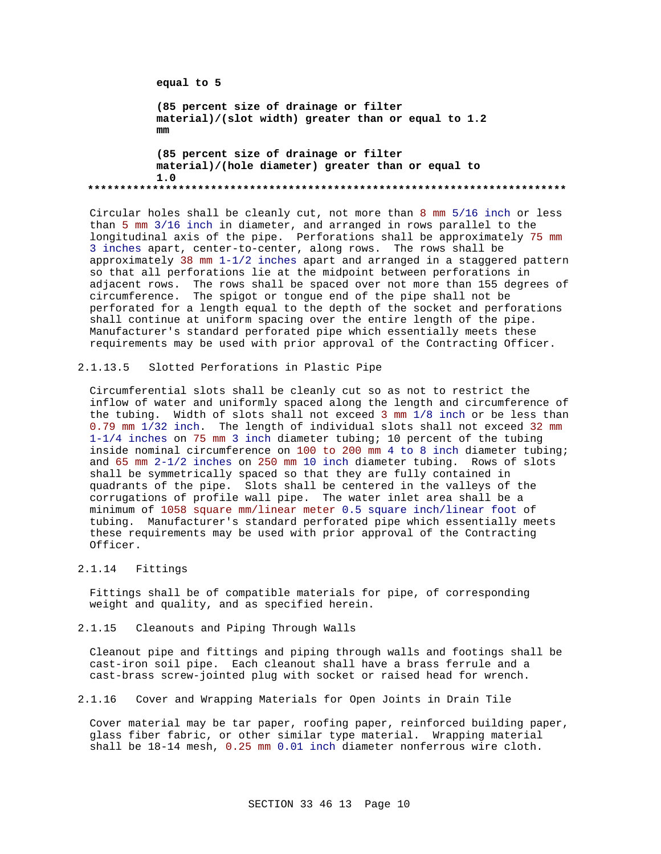```
equal to 5
          (85 percent size of drainage or filter
          material)/(slot width) greater than or equal to 1.2
          mm
          (85 percent size of drainage or filter
          material)/(hole diameter) greater than or equal to
          1.0
**************************************************************************
```
Circular holes shall be cleanly cut, not more than 8 mm 5/16 inch or less than 5 mm 3/16 inch in diameter, and arranged in rows parallel to the longitudinal axis of the pipe. Perforations shall be approximately 75 mm 3 inches apart, center-to-center, along rows. The rows shall be approximately 38 mm 1-1/2 inches apart and arranged in a staggered pattern so that all perforations lie at the midpoint between perforations in adjacent rows. The rows shall be spaced over not more than 155 degrees of circumference. The spigot or tongue end of the pipe shall not be perforated for a length equal to the depth of the socket and perforations shall continue at uniform spacing over the entire length of the pipe. Manufacturer's standard perforated pipe which essentially meets these requirements may be used with prior approval of the Contracting Officer.

2.1.13.5 Slotted Perforations in Plastic Pipe

Circumferential slots shall be cleanly cut so as not to restrict the inflow of water and uniformly spaced along the length and circumference of the tubing. Width of slots shall not exceed 3 mm 1/8 inch or be less than 0.79 mm 1/32 inch. The length of individual slots shall not exceed 32 mm 1-1/4 inches on 75 mm 3 inch diameter tubing; 10 percent of the tubing inside nominal circumference on 100 to 200 mm 4 to 8 inch diameter tubing; and 65 mm 2-1/2 inches on 250 mm 10 inch diameter tubing. Rows of slots shall be symmetrically spaced so that they are fully contained in quadrants of the pipe. Slots shall be centered in the valleys of the corrugations of profile wall pipe. The water inlet area shall be a minimum of 1058 square mm/linear meter 0.5 square inch/linear foot of tubing. Manufacturer's standard perforated pipe which essentially meets these requirements may be used with prior approval of the Contracting Officer.

2.1.14 Fittings

Fittings shall be of compatible materials for pipe, of corresponding weight and quality, and as specified herein.

2.1.15 Cleanouts and Piping Through Walls

Cleanout pipe and fittings and piping through walls and footings shall be cast-iron soil pipe. Each cleanout shall have a brass ferrule and a cast-brass screw-jointed plug with socket or raised head for wrench.

2.1.16 Cover and Wrapping Materials for Open Joints in Drain Tile

Cover material may be tar paper, roofing paper, reinforced building paper, glass fiber fabric, or other similar type material. Wrapping material shall be 18-14 mesh, 0.25 mm 0.01 inch diameter nonferrous wire cloth.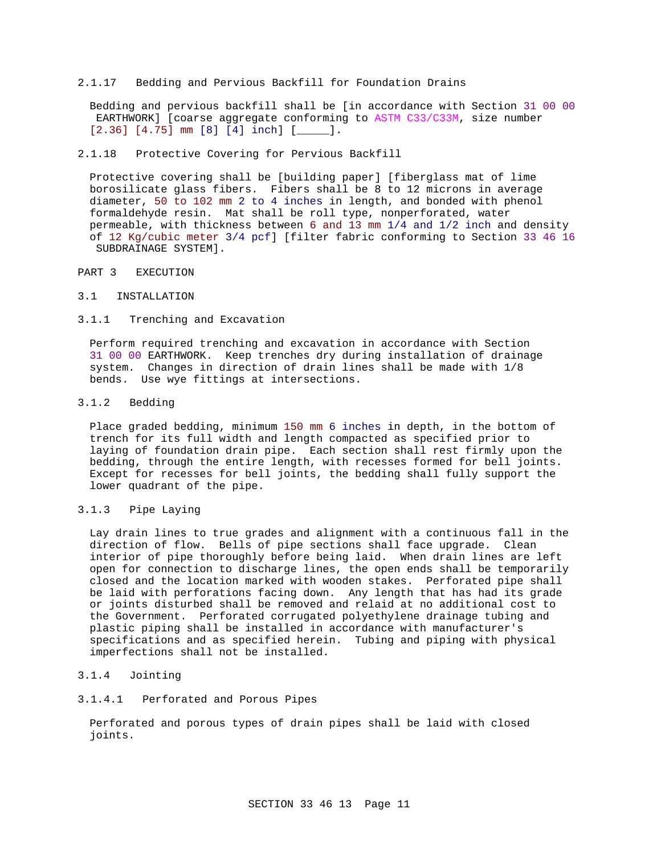2.1.17 Bedding and Pervious Backfill for Foundation Drains

Bedding and pervious backfill shall be [in accordance with Section 31 00 00 EARTHWORK] [coarse aggregate conforming to ASTM C33/C33M, size number [2.36] [4.75] mm [8] [4] inch] [\_\_\_\_\_].

#### 2.1.18 Protective Covering for Pervious Backfill

Protective covering shall be [building paper] [fiberglass mat of lime borosilicate glass fibers. Fibers shall be 8 to 12 microns in average diameter, 50 to 102 mm 2 to 4 inches in length, and bonded with phenol formaldehyde resin. Mat shall be roll type, nonperforated, water permeable, with thickness between 6 and 13 mm 1/4 and 1/2 inch and density of 12 Kg/cubic meter 3/4 pcf] [filter fabric conforming to Section 33 46 16 SUBDRAINAGE SYSTEM].

## PART 3 EXECUTION

#### 3.1 INSTALLATION

#### 3.1.1 Trenching and Excavation

Perform required trenching and excavation in accordance with Section 31 00 00 EARTHWORK. Keep trenches dry during installation of drainage system. Changes in direction of drain lines shall be made with 1/8 bends. Use wye fittings at intersections.

## 3.1.2 Bedding

Place graded bedding, minimum 150 mm 6 inches in depth, in the bottom of trench for its full width and length compacted as specified prior to laying of foundation drain pipe. Each section shall rest firmly upon the bedding, through the entire length, with recesses formed for bell joints. Except for recesses for bell joints, the bedding shall fully support the lower quadrant of the pipe.

## 3.1.3 Pipe Laying

Lay drain lines to true grades and alignment with a continuous fall in the direction of flow. Bells of pipe sections shall face upgrade. Clean interior of pipe thoroughly before being laid. When drain lines are left open for connection to discharge lines, the open ends shall be temporarily closed and the location marked with wooden stakes. Perforated pipe shall be laid with perforations facing down. Any length that has had its grade or joints disturbed shall be removed and relaid at no additional cost to the Government. Perforated corrugated polyethylene drainage tubing and plastic piping shall be installed in accordance with manufacturer's specifications and as specified herein. Tubing and piping with physical imperfections shall not be installed.

## 3.1.4 Jointing

#### 3.1.4.1 Perforated and Porous Pipes

Perforated and porous types of drain pipes shall be laid with closed joints.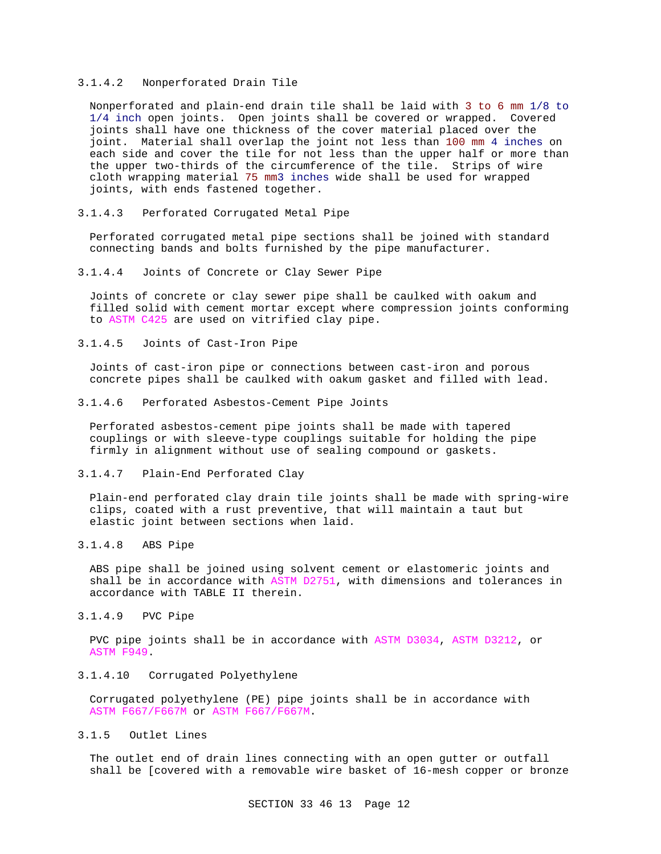#### 3.1.4.2 Nonperforated Drain Tile

Nonperforated and plain-end drain tile shall be laid with 3 to 6 mm 1/8 to 1/4 inch open joints. Open joints shall be covered or wrapped. Covered joints shall have one thickness of the cover material placed over the joint. Material shall overlap the joint not less than 100 mm 4 inches on each side and cover the tile for not less than the upper half or more than the upper two-thirds of the circumference of the tile. Strips of wire cloth wrapping material 75 mm3 inches wide shall be used for wrapped joints, with ends fastened together.

3.1.4.3 Perforated Corrugated Metal Pipe

Perforated corrugated metal pipe sections shall be joined with standard connecting bands and bolts furnished by the pipe manufacturer.

3.1.4.4 Joints of Concrete or Clay Sewer Pipe

Joints of concrete or clay sewer pipe shall be caulked with oakum and filled solid with cement mortar except where compression joints conforming to ASTM C425 are used on vitrified clay pipe.

3.1.4.5 Joints of Cast-Iron Pipe

Joints of cast-iron pipe or connections between cast-iron and porous concrete pipes shall be caulked with oakum gasket and filled with lead.

3.1.4.6 Perforated Asbestos-Cement Pipe Joints

Perforated asbestos-cement pipe joints shall be made with tapered couplings or with sleeve-type couplings suitable for holding the pipe firmly in alignment without use of sealing compound or gaskets.

3.1.4.7 Plain-End Perforated Clay

Plain-end perforated clay drain tile joints shall be made with spring-wire clips, coated with a rust preventive, that will maintain a taut but elastic joint between sections when laid.

3.1.4.8 ABS Pipe

ABS pipe shall be joined using solvent cement or elastomeric joints and shall be in accordance with ASTM D2751, with dimensions and tolerances in accordance with TABLE II therein.

3.1.4.9 PVC Pipe

PVC pipe joints shall be in accordance with ASTM D3034, ASTM D3212, or ASTM F949.

3.1.4.10 Corrugated Polyethylene

Corrugated polyethylene (PE) pipe joints shall be in accordance with ASTM F667/F667M or ASTM F667/F667M.

3.1.5 Outlet Lines

The outlet end of drain lines connecting with an open gutter or outfall shall be [covered with a removable wire basket of 16-mesh copper or bronze